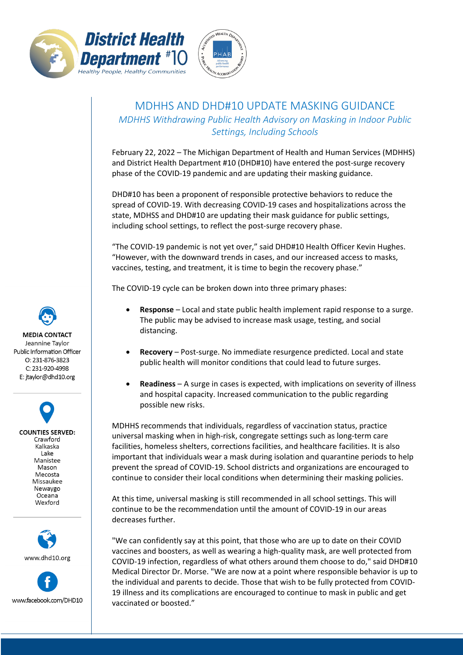



## MDHHS AND DHD#10 UPDATE MASKING GUIDANCE *MDHHS Withdrawing Public Health Advisory on Masking in Indoor Public Settings, Including Schools*

February 22, 2022 – The Michigan Department of Health and Human Services (MDHHS) and District Health Department #10 (DHD#10) have entered the post-surge recovery phase of the COVID-19 pandemic and are updating their masking guidance.

DHD#10 has been a proponent of responsible protective behaviors to reduce the spread of COVID-19. With decreasing COVID-19 cases and hospitalizations across the state, MDHSS and DHD#10 are updating their mask guidance for public settings, including school settings, to reflect the post-surge recovery phase.

"The COVID-19 pandemic is not yet over," said DHD#10 Health Officer Kevin Hughes. "However, with the downward trends in cases, and our increased access to masks, vaccines, testing, and treatment, it is time to begin the recovery phase."

The COVID-19 cycle can be broken down into three primary phases:

- **Response** Local and state public health implement rapid response to a surge. The public may be advised to increase mask usage, testing, and social distancing.
- **Recovery** Post-surge. No immediate resurgence predicted. Local and state public health will monitor conditions that could lead to future surges.
- **Readiness** A surge in cases is expected, with implications on severity of illness and hospital capacity. Increased communication to the public regarding possible new risks.

MDHHS recommends that individuals, regardless of vaccination status, practice universal masking when in high-risk, congregate settings such as long-term care facilities, homeless shelters, corrections facilities, and healthcare facilities. It is also important that individuals wear a mask during isolation and quarantine periods to help prevent the spread of COVID-19. School districts and organizations are encouraged to continue to consider their local conditions when determining their masking policies.

At this time, universal masking is still recommended in all school settings. This will continue to be the recommendation until the amount of COVID-19 in our areas decreases further.

"We can confidently say at this point, that those who are up to date on their COVID vaccines and boosters, as well as wearing a high-quality mask, are well protected from COVID-19 infection, regardless of what others around them choose to do," said DHD#10 Medical Director Dr. Morse. "We are now at a point where responsible behavior is up to the individual and parents to decide. Those that wish to be fully protected from COVID-19 illness and its complications are encouraged to continue to mask in public and get vaccinated or boosted."

**MEDIA CONTACT** Jeannine Taylor Public Information Officer  $O: 231 - 876 - 3823$ C: 231-920-4998

E: jtaylor@dhd10.org

**COUNTIES SERVED:** Crawford Kalkaska Lake Manistee Mason Mecosta Missaukee Newaygo Oceana Wexford



www.facebook.com/DHD10